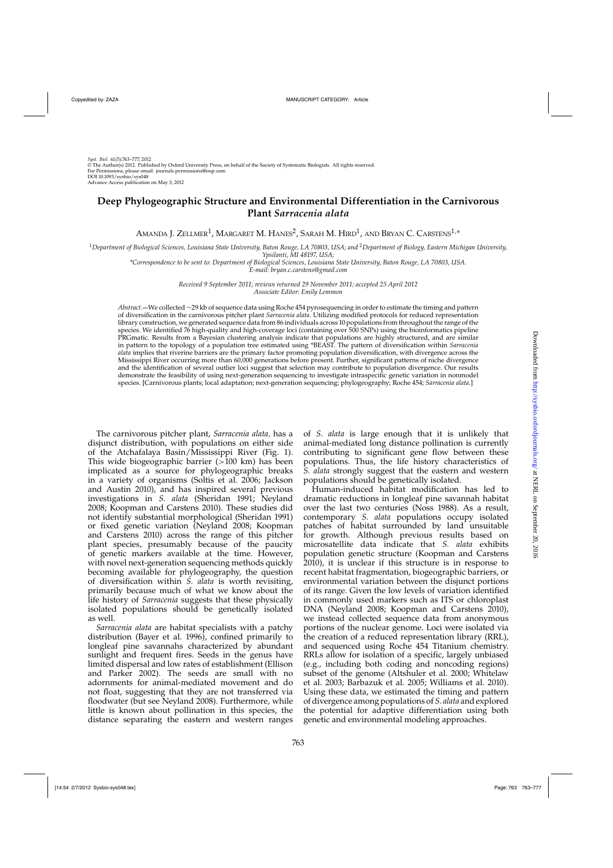# **Deep Phylogeographic Structure and Environmental Differentiation in the Carnivorous Plant** *Sarracenia alata*

AMANDA J. ZELLMER<sup>1</sup>, MARGARET M. HANES<sup>2</sup>, SARAH M. HIRD<sup>1</sup>, AND BRYAN C. CARSTENS<sup>1,\*</sup>

<sup>1</sup>*Department of Biological Sciences, Louisiana State University, Baton Rouge, LA 70803, USA; and* <sup>2</sup>*Department of Biology, Eastern Michigan University, Ypsilanti, MI 48197, USA;*

*\*Correspondence to be sent to: Department of Biological Sciences, Louisiana State University, Baton Rouge, LA 70803, USA. E-mail: bryan.c.carstens@gmail.com*

> *Received 9 September 2011; reviews returned 29 November 2011; accepted 25 April 2012 Associate Editor: Emily Lemmon*

*Abstract*.—We collected ∼29 kb of sequence data using Roche 454 pyrosequencing in order to estimate the timing and pattern of diversification in the carnivorous pitcher plant *Sarracenia alata*. Utilizing modified protocols for reduced representation library construction, we generated sequence data from 86 individuals across 10 populations from throughout the range of the species. We identified 76 high-quality and high-coverage loci (containing over 500 SNPs) using the bioinformatics pipeline PRGmatic. Results from a Bayesian clustering analysis indicate that populations are highly structured, and are similar in pattern to the topology of a population tree estimated using \*BEAST. The pattern of diversification within *Sarracenia alata* implies that riverine barriers are the primary factor promoting population diversification, with divergence across the Mississippi River occurring more than 60,000 generations before present. Further, significant patterns of niche divergence and the identification of several outlier loci suggest that selection may contribute to population divergence. Our results demonstrate the feasibility of using next-generation sequencing to investigate intraspecific genetic variation in nonmodel species. [Carnivorous plants; local adaptation; next-generation sequencing; phylogeography; Roche 454; *Sarracenia alata*.]

The carnivorous pitcher plant, *Sarracenia alata,* has a disjunct distribution, with populations on either side of the Atchafalaya Basin/Mississippi River (Fig. 1). This wide biogeographic barrier  $(>100 \text{ km})$  has been implicated as a source for phylogeographic breaks in a variety of organisms (Soltis et al. 2006; Jackson and Austin 2010), and has inspired several previous investigations in *S. alata* (Sheridan 1991; Neyland 2008; Koopman and Carstens 2010). These studies did not identify substantial morphological (Sheridan 1991) or fixed genetic variation (Neyland 2008; Koopman and Carstens 2010) across the range of this pitcher plant species, presumably because of the paucity of genetic markers available at the time. However, with novel next-generation sequencing methods quickly becoming available for phylogeography, the question of diversification within *S. alata* is worth revisiting, primarily because much of what we know about the life history of *Sarracenia* suggests that these physically isolated populations should be genetically isolated as well.

*Sarracenia alata* are habitat specialists with a patchy distribution (Bayer et al. 1996), confined primarily to longleaf pine savannahs characterized by abundant sunlight and frequent fires. Seeds in the genus have limited dispersal and low rates of establishment (Ellison and Parker 2002). The seeds are small with no adornments for animal-mediated movement and do not float, suggesting that they are not transferred via floodwater (but see Neyland 2008). Furthermore, while little is known about pollination in this species, the distance separating the eastern and western ranges

of *S. alata* is large enough that it is unlikely that animal-mediated long distance pollination is currently contributing to significant gene flow between these populations. Thus, the life history characteristics of *S. alata* strongly suggest that the eastern and western populations should be genetically isolated.

Human-induced habitat modification has led to dramatic reductions in longleaf pine savannah habitat over the last two centuries (Noss 1988). As a result, contemporary *S. alata* populations occupy isolated patches of habitat surrounded by land unsuitable for growth. Although previous results based on microsatellite data indicate that *S. alata* exhibits population genetic structure (Koopman and Carstens 2010), it is unclear if this structure is in response to recent habitat fragmentation, biogeographic barriers, or environmental variation between the disjunct portions of its range. Given the low levels of variation identified in commonly used markers such as ITS or chloroplast DNA (Neyland 2008; Koopman and Carstens 2010), we instead collected sequence data from anonymous portions of the nuclear genome. Loci were isolated via the creation of a reduced representation library (RRL), and sequenced using Roche 454 Titanium chemistry. RRLs allow for isolation of a specific, largely unbiased (e.g., including both coding and noncoding regions) subset of the genome (Altshuler et al. 2000; Whitelaw et al. 2003; Barbazuk et al. 2005; Williams et al. 2010). Using these data, we estimated the timing and pattern of divergence among populations of *S. alata* and explored the potential for adaptive differentiation using both genetic and environmental modeling approaches.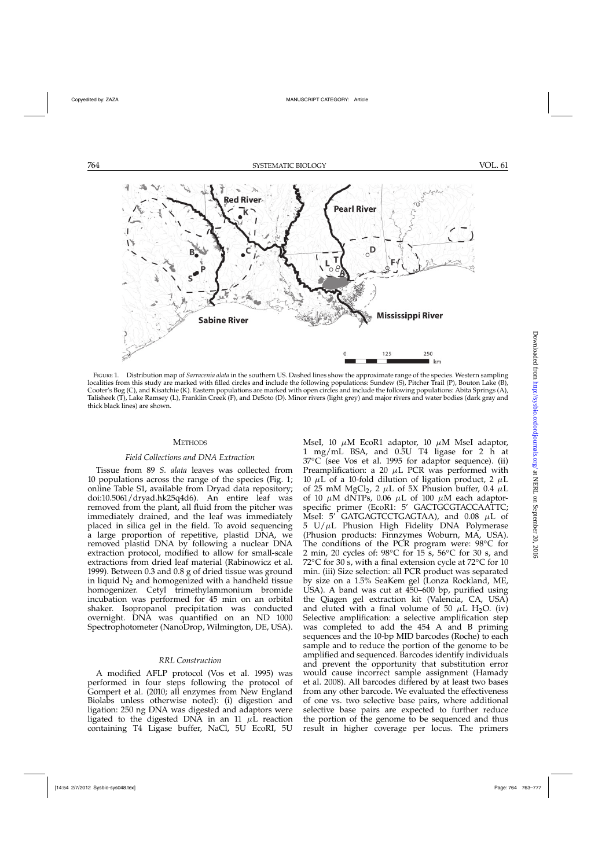

FIGURE 1. Distribution map of *Sarracenia alata* in the southern US. Dashed lines show the approximate range of the species. Western sampling localities from this study are marked with filled circles and include the following populations: Sundew (S), Pitcher Trail (P), Bouton Lake (B), Cooter's Bog (C), and Kisatchie (K). Eastern populations are marked with open circles and include the following populations: Abita Springs (A), Talisheek (T), Lake Ramsey (L), Franklin Creek (F), and DeSoto (D). Minor rivers (light grey) and major rivers and water bodies (dark gray and thick black lines) are shown.

#### **METHODS**

## *Field Collections and DNA Extraction*

Tissue from 89 *S. alata* leaves was collected from 10 populations across the range of the species (Fig. 1; online Table S1, available from Dryad data repository; doi:10.5061/dryad.hk25q4d6). An entire leaf was removed from the plant, all fluid from the pitcher was immediately drained, and the leaf was immediately placed in silica gel in the field. To avoid sequencing a large proportion of repetitive, plastid DNA, we removed plastid DNA by following a nuclear DNA extraction protocol, modified to allow for small-scale extractions from dried leaf material (Rabinowicz et al. 1999). Between 0.3 and 0.8 g of dried tissue was ground in liquid  $N_2$  and homogenized with a handheld tissue homogenizer. Cetyl trimethylammonium bromide incubation was performed for 45 min on an orbital shaker. Isopropanol precipitation was conducted overnight. DNA was quantified on an ND 1000 Spectrophotometer (NanoDrop, Wilmington, DE, USA).

#### *RRL Construction*

A modified AFLP protocol (Vos et al. 1995) was performed in four steps following the protocol of Gompert et al. (2010; all enzymes from New England Biolabs unless otherwise noted): (i) digestion and ligation: 250 ng DNA was digested and adaptors were ligated to the digested DNA in an 11  $\mu$ L reaction containing T4 Ligase buffer, NaCl, 5U EcoRI, 5U

MseI, 10  $\mu$ M EcoR1 adaptor, 10  $\mu$ M MseI adaptor, 1 mg/mL BSA, and 0.5U T4 ligase for 2 h at 37◦C (see Vos et al. 1995 for adaptor sequence). (ii) Preamplification: a 20  $\mu$ L PCR was performed with 10 μL of a 10-fold dilution of ligation product, 2 μL of 25 mM MgCl<sub>2</sub>, 2  $\mu$ L of 5X Phusion buffer, 0.4  $\mu$ L of 10  $\mu$ M dNTPs, 0.06  $\mu$ L of 100  $\mu$ M each adaptorspecific primer (EcoR1: 5' GACTGCGTACCAATTC; MseI:  $5^{\prime}$  GATGAGTCCTGAGTAA), and 0.08  $\mu$ L of 5 U/ $\mu$ L Phusion High Fidelity DNA Polymerase (Phusion products: Finnzymes Woburn, MA, USA). The conditions of the PCR program were: 98◦C for 2 min, 20 cycles of: 98◦C for 15 s, 56◦C for 30 s, and 72<sup>°</sup>C for 30 s, with a final extension cycle at 72<sup>°</sup>C for 10 min. (iii) Size selection: all PCR product was separated by size on a 1.5% SeaKem gel (Lonza Rockland, ME, USA). A band was cut at 450–600 bp, purified using the Qiagen gel extraction kit (Valencia, CA, USA) and eluted with a final volume of 50  $\mu$ L H<sub>2</sub>O. (iv) Selective amplification: a selective amplification step was completed to add the 454 A and B priming sequences and the 10-bp MID barcodes (Roche) to each sample and to reduce the portion of the genome to be amplified and sequenced. Barcodes identify individuals and prevent the opportunity that substitution error would cause incorrect sample assignment (Hamady et al. 2008). All barcodes differed by at least two bases from any other barcode. We evaluated the effectiveness of one vs. two selective base pairs, where additional selective base pairs are expected to further reduce the portion of the genome to be sequenced and thus result in higher coverage per locus. The primers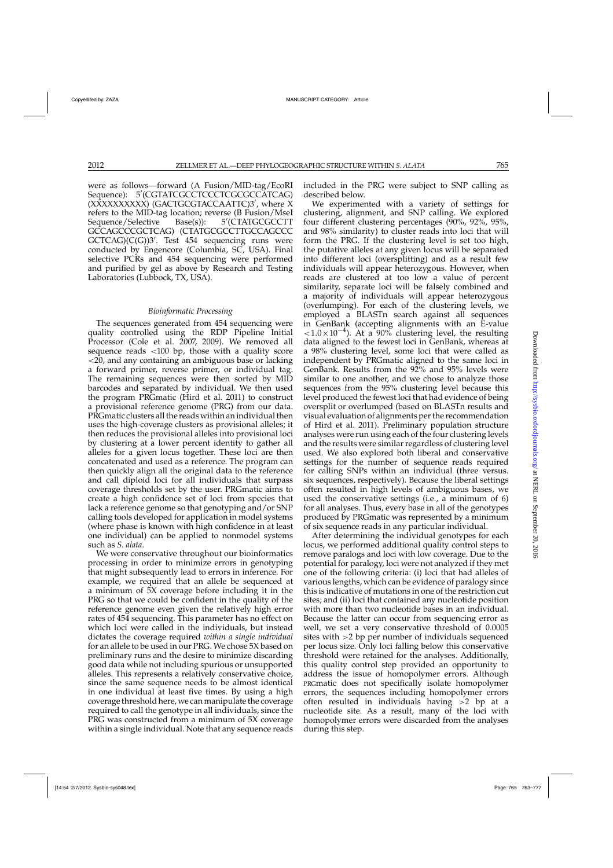were as follows—forward (A Fusion/MID-tag/EcoRI Sequence): 5 (CGTATCGCCTCCCTCGCGCCATCAG) (XXXXXXXXXX) (GACTGCGTACCAATTC)3 , where X refers to the MID-tag location; reverse (B Fusion/MseI Sequence/Selective Base(s)): (CTATGCGCCTT GCCAGCCCGCTCAG) (CTATGCGCCTTGCCAGCCC GCTCAG)(C(G))3 . Test 454 sequencing runs were conducted by Engencore (Columbia, SC, USA). Final selective PCRs and 454 sequencing were performed and purified by gel as above by Research and Testing Laboratories (Lubbock, TX, USA).

## *Bioinformatic Processing*

The sequences generated from 454 sequencing were quality controlled using the RDP Pipeline Initial Processor (Cole et al. 2007, 2009). We removed all sequence reads <100 bp, those with a quality score <20, and any containing an ambiguous base or lacking a forward primer, reverse primer, or individual tag. The remaining sequences were then sorted by MID barcodes and separated by individual. We then used the program PRGmatic (Hird et al. 2011) to construct a provisional reference genome (PRG) from our data. PRGmatic clusters all the reads within an individual then uses the high-coverage clusters as provisional alleles; it then reduces the provisional alleles into provisional loci by clustering at a lower percent identity to gather all alleles for a given locus together. These loci are then concatenated and used as a reference. The program can then quickly align all the original data to the reference and call diploid loci for all individuals that surpass coverage thresholds set by the user. PRGmatic aims to create a high confidence set of loci from species that lack a reference genome so that genotyping and/or SNP calling tools developed for application in model systems (where phase is known with high confidence in at least one individual) can be applied to nonmodel systems such as *S. alata*.

We were conservative throughout our bioinformatics processing in order to minimize errors in genotyping that might subsequently lead to errors in inference. For example, we required that an allele be sequenced at a minimum of 5X coverage before including it in the PRG so that we could be confident in the quality of the reference genome even given the relatively high error rates of 454 sequencing. This parameter has no effect on which loci were called in the individuals, but instead dictates the coverage required *within a single individual* for an allele to be used in our PRG. We chose 5X based on preliminary runs and the desire to minimize discarding good data while not including spurious or unsupported alleles. This represents a relatively conservative choice, since the same sequence needs to be almost identical in one individual at least five times. By using a high coverage threshold here, we can manipulate the coverage required to call the genotype in all individuals, since the PRG was constructed from a minimum of 5X coverage within a single individual. Note that any sequence reads

included in the PRG were subject to SNP calling as described below.

We experimented with a variety of settings for clustering, alignment, and SNP calling. We explored four different clustering percentages (90%, 92%, 95%, and 98% similarity) to cluster reads into loci that will form the PRG. If the clustering level is set too high, the putative alleles at any given locus will be separated into different loci (oversplitting) and as a result few individuals will appear heterozygous. However, when reads are clustered at too low a value of percent similarity, separate loci will be falsely combined and a majority of individuals will appear heterozygous (overlumping). For each of the clustering levels, we employed a BLASTn search against all sequences in GenBank (accepting alignments with an E-value  $< 1.0 \times 10^{-4}$ ). At a 90% clustering level, the resulting data aligned to the fewest loci in GenBank, whereas at a 98% clustering level, some loci that were called as independent by PRGmatic aligned to the same loci in GenBank. Results from the 92% and 95% levels were similar to one another, and we chose to analyze those sequences from the 95% clustering level because this level produced the fewest loci that had evidence of being oversplit or overlumped (based on BLASTn results and visual evaluation of alignments per the recommendation of Hird et al. 2011). Preliminary population structure analyses were run using each of the four clustering levels and the results were similar regardless of clustering level used. We also explored both liberal and conservative settings for the number of sequence reads required for calling SNPs within an individual (three versus. six sequences, respectively). Because the liberal settings often resulted in high levels of ambiguous bases, we used the conservative settings (i.e., a minimum of 6) for all analyses. Thus, every base in all of the genotypes produced by PRGmatic was represented by a minimum of six sequence reads in any particular individual.

After determining the individual genotypes for each locus, we performed additional quality control steps to remove paralogs and loci with low coverage. Due to the potential for paralogy, loci were not analyzed if they met one of the following criteria: (i) loci that had alleles of various lengths, which can be evidence of paralogy since this is indicative of mutations in one of the restriction cut sites; and (ii) loci that contained any nucleotide position with more than two nucleotide bases in an individual. Because the latter can occur from sequencing error as well, we set a very conservative threshold of 0.0005 sites with >2 bp per number of individuals sequenced per locus size. Only loci falling below this conservative threshold were retained for the analyses. Additionally, this quality control step provided an opportunity to address the issue of homopolymer errors. Although PRGmatic does not specifically isolate homopolymer errors, the sequences including homopolymer errors often resulted in individuals having  $>2$  bp at a nucleotide site. As a result, many of the loci with homopolymer errors were discarded from the analyses during this step.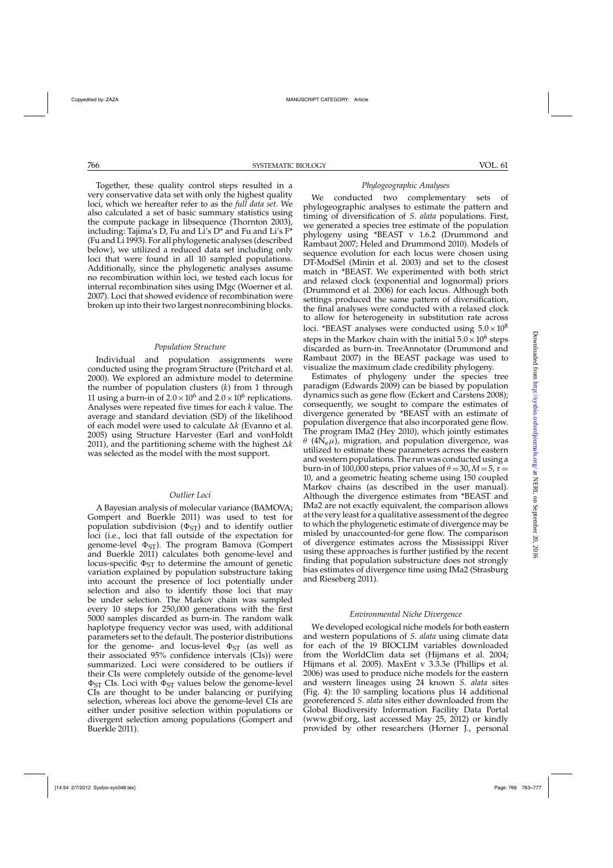766 SYSTEMATIC BIOLOGY VOL. 61

Together, these quality control steps resulted in a very conservative data set with only the highest quality loci, which we hereafter refer to as the *full data set*. We also calculated a set of basic summary statistics using the compute package in libsequence (Thornton 2003), including: Tajima's D, Fu and Li's D\* and Fu and Li's F\* (Fu and Li 1993). For all phylogenetic analyses (described below), we utilized a reduced data set including only loci that were found in all 10 sampled populations. Additionally, since the phylogenetic analyses assume no recombination within loci, we tested each locus for internal recombination sites using IMgc (Woerner et al. 2007). Loci that showed evidence of recombination were broken up into their two largest nonrecombining blocks.

#### *Population Structure*

Individual and population assignments were conducted using the program Structure (Pritchard et al. 2000). We explored an admixture model to determine the number of population clusters (*k*) from 1 through 11 using a burn-in of  $2.0 \times 10^6$  and  $2.0 \times 10^6$  replications. Analyses were repeated five times for each *k* value. The average and standard deviation (SD) of the likelihood of each model were used to calculate  $\Delta k$  (Evanno et al. 2005) using Structure Harvester (Earl and vonHoldt 2011), and the partitioning scheme with the highest  $\Delta k$ was selected as the model with the most support.

## *Outlier Loci*

A Bayesian analysis of molecular variance (BAMOVA; Gompert and Buerkle 2011) was used to test for population subdivision ( $\Phi$ <sub>ST</sub>) and to identify outlier loci (i.e., loci that fall outside of the expectation for genome-level  $\Phi_{ST}$ ). The program Bamova (Gompert and Buerkle 2011) calculates both genome-level and locus-specific  $\Phi_{ST}$  to determine the amount of genetic variation explained by population substructure taking into account the presence of loci potentially under selection and also to identify those loci that may be under selection. The Markov chain was sampled every 10 steps for 250,000 generations with the first 5000 samples discarded as burn-in. The random walk haplotype frequency vector was used, with additional parameters set to the default. The posterior distributions for the genome- and locus-level  $\Phi_{ST}$  (as well as their associated 95% confidence intervals (CIs)) were summarized. Loci were considered to be outliers if their CIs were completely outside of the genome-level  $\Phi_{ST}$  CIs. Loci with  $\Phi_{ST}$  values below the genome-level CIs are thought to be under balancing or purifying selection, whereas loci above the genome-level CIs are either under positive selection within populations or divergent selection among populations (Gompert and Buerkle 2011).

#### *Phylogeographic Analyses*

We conducted two complementary sets of phylogeographic analyses to estimate the pattern and timing of diversification of *S. alata* populations. First, we generated a species tree estimate of the population phylogeny using \*BEAST v 1.6.2 (Drummond and Rambaut 2007; Heled and Drummond 2010). Models of sequence evolution for each locus were chosen using DT-ModSel (Minin et al. 2003) and set to the closest match in \*BEAST. We experimented with both strict and relaxed clock (exponential and lognormal) priors (Drummond et al. 2006) for each locus. Although both settings produced the same pattern of diversification, the final analyses were conducted with a relaxed clock to allow for heterogeneity in substitution rate across loci. \*BEAST analyses were conducted using  $5.0 \times 10^8$ steps in the Markov chain with the initial  $5.0 \times 10^6$  steps discarded as burn-in. TreeAnnotator (Drummond and Rambaut 2007) in the BEAST package was used to visualize the maximum clade credibility phylogeny.

Estimates of phylogeny under the species tree paradigm (Edwards 2009) can be biased by population dynamics such as gene flow (Eckert and Carstens 2008); consequently, we sought to compare the estimates of divergence generated by \*BEAST with an estimate of population divergence that also incorporated gene flow. The program IMa2 (Hey 2010), which jointly estimates  $\theta$  (4N<sub>e</sub> $\mu$ ), migration, and population divergence, was utilized to estimate these parameters across the eastern and western populations. The run was conducted using a burn-in of 100,000 steps, prior values of  $\theta = 30$ ,  $M = 5$ ,  $\tau =$ 10, and a geometric heating scheme using 150 coupled Markov chains (as described in the user manual). Although the divergence estimates from \*BEAST and IMa2 are not exactly equivalent, the comparison allows at the very least for a qualitative assessment of the degree to which the phylogenetic estimate of divergence may be misled by unaccounted-for gene flow. The comparison of divergence estimates across the Mississippi River using these approaches is further justified by the recent finding that population substructure does not strongly bias estimates of divergence time using IMa2 (Strasburg and Rieseberg 2011).

#### *Environmental Niche Divergence*

We developed ecological niche models for both eastern and western populations of *S. alata* using climate data for each of the 19 BIOCLIM variables downloaded from the WorldClim data set (Hijmans et al. 2004; Hijmans et al. 2005). MaxEnt v 3.3.3e (Phillips et al. 2006) was used to produce niche models for the eastern and western lineages using 24 known *S. alata* sites (Fig. 4): the 10 sampling locations plus 14 additional georeferenced *S. alata* sites either downloaded from the Global Biodiversity Information Facility Data Portal (www.gbif.org, last accessed May 25, 2012) or kindly provided by other researchers (Horner J., personal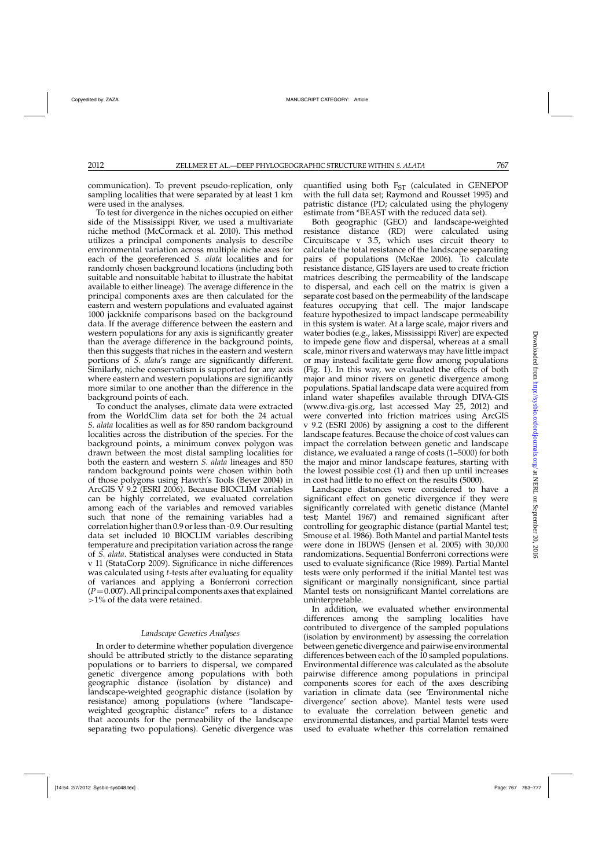communication). To prevent pseudo-replication, only sampling localities that were separated by at least 1 km were used in the analyses.

To test for divergence in the niches occupied on either side of the Mississippi River, we used a multivariate niche method (McCormack et al. 2010). This method utilizes a principal components analysis to describe environmental variation across multiple niche axes for each of the georeferenced *S. alata* localities and for randomly chosen background locations (including both suitable and nonsuitable habitat to illustrate the habitat available to either lineage). The average difference in the principal components axes are then calculated for the eastern and western populations and evaluated against 1000 jackknife comparisons based on the background data. If the average difference between the eastern and western populations for any axis is significantly greater than the average difference in the background points, then this suggests that niches in the eastern and western portions of *S. alata*'s range are significantly different. Similarly, niche conservatism is supported for any axis where eastern and western populations are significantly more similar to one another than the difference in the background points of each.

To conduct the analyses, climate data were extracted from the WorldClim data set for both the 24 actual *S. alata* localities as well as for 850 random background localities across the distribution of the species. For the background points, a minimum convex polygon was drawn between the most distal sampling localities for both the eastern and western *S. alata* lineages and 850 random background points were chosen within both of those polygons using Hawth's Tools (Beyer 2004) in ArcGIS V 9.2 (ESRI 2006). Because BIOCLIM variables can be highly correlated, we evaluated correlation among each of the variables and removed variables such that none of the remaining variables had a correlation higher than 0.9 or less than -0.9. Our resulting data set included 10 BIOCLIM variables describing temperature and precipitation variation across the range of *S. alata*. Statistical analyses were conducted in Stata v 11 (StataCorp 2009). Significance in niche differences was calculated using *t*-tests after evaluating for equality of variances and applying a Bonferroni correction  $(P=0.007)$ . All principal components axes that explained >1% of the data were retained.

# *Landscape Genetics Analyses*

In order to determine whether population divergence should be attributed strictly to the distance separating populations or to barriers to dispersal, we compared genetic divergence among populations with both geographic distance (isolation by distance) and landscape-weighted geographic distance (isolation by resistance) among populations (where "landscapeweighted geographic distance" refers to a distance that accounts for the permeability of the landscape separating two populations). Genetic divergence was

quantified using both  $F_{ST}$  (calculated in GENEPOP with the full data set; Raymond and Rousset 1995) and patristic distance (PD; calculated using the phylogeny estimate from \*BEAST with the reduced data set).

Both geographic (GEO) and landscape-weighted resistance distance (RD) were calculated using Circuitscape v 3.5, which uses circuit theory to calculate the total resistance of the landscape separating pairs of populations (McRae 2006). To calculate resistance distance, GIS layers are used to create friction matrices describing the permeability of the landscape to dispersal, and each cell on the matrix is given a separate cost based on the permeability of the landscape features occupying that cell. The major landscape feature hypothesized to impact landscape permeability in this system is water. At a large scale, major rivers and water bodies (e.g., lakes, Mississippi River) are expected to impede gene flow and dispersal, whereas at a small scale, minor rivers and waterways may have little impact or may instead facilitate gene flow among populations (Fig. 1). In this way, we evaluated the effects of both major and minor rivers on genetic divergence among populations. Spatial landscape data were acquired from inland water shapefiles available through DIVA-GIS (www.diva-gis.org, last accessed May 25, 2012) and were converted into friction matrices using ArcGIS v 9.2 (ESRI 2006) by assigning a cost to the different landscape features. Because the choice of cost values can impact the correlation between genetic and landscape distance, we evaluated a range of costs (1–5000) for both the major and minor landscape features, starting with the lowest possible cost (1) and then up until increases in cost had little to no effect on the results (5000).

Landscape distances were considered to have a significant effect on genetic divergence if they were significantly correlated with genetic distance (Mantel test; Mantel 1967) and remained significant after controlling for geographic distance (partial Mantel test; Smouse et al. 1986). Both Mantel and partial Mantel tests were done in IBDWS (Jensen et al. 2005) with 30,000 randomizations. Sequential Bonferroni corrections were used to evaluate significance (Rice 1989). Partial Mantel tests were only performed if the initial Mantel test was significant or marginally nonsignificant, since partial Mantel tests on nonsignificant Mantel correlations are uninterpretable.

In addition, we evaluated whether environmental differences among the sampling localities have contributed to divergence of the sampled populations (isolation by environment) by assessing the correlation between genetic divergence and pairwise environmental differences between each of the 10 sampled populations. Environmental difference was calculated as the absolute pairwise difference among populations in principal components scores for each of the axes describing variation in climate data (see 'Environmental niche divergence' section above). Mantel tests were used to evaluate the correlation between genetic and environmental distances, and partial Mantel tests were used to evaluate whether this correlation remained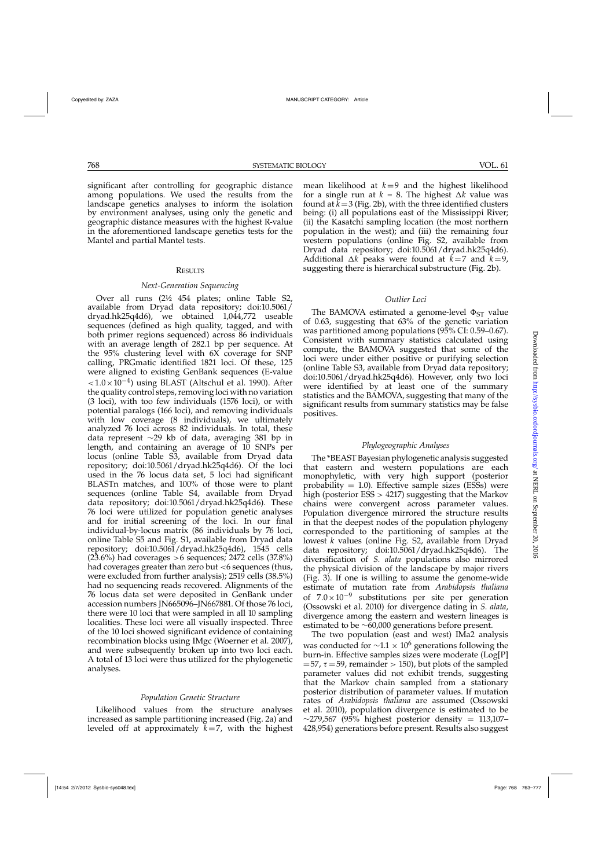significant after controlling for geographic distance among populations. We used the results from the landscape genetics analyses to inform the isolation by environment analyses, using only the genetic and geographic distance measures with the highest R-value in the aforementioned landscape genetics tests for the Mantel and partial Mantel tests.

# **RESULTS**

#### *Next-Generation Sequencing*

Over all runs (2½ 454 plates; online Table S2, available from Dryad data repository; doi:10.5061/ dryad.hk25q4d6), we obtained 1,044,772 useable sequences (defined as high quality, tagged, and with both primer regions sequenced) across 86 individuals with an average length of 282.1 bp per sequence. At the 95% clustering level with 6X coverage for SNP calling, PRGmatic identified 1821 loci. Of these, 125 were aligned to existing GenBank sequences (E-value  $< 1.0 \times 10^{-4}$ ) using BLAST (Altschul et al. 1990). After the quality control steps, removing loci with no variation (3 loci), with too few individuals (1576 loci), or with potential paralogs (166 loci), and removing individuals with low coverage (8 individuals), we ultimately analyzed 76 loci across 82 individuals. In total, these data represent ∼29 kb of data, averaging 381 bp in length, and containing an average of  $10$  SNPs per locus (online Table S3, available from Dryad data repository; doi:10.5061/dryad.hk25q4d6). Of the loci used in the 76 locus data set, 5 loci had significant BLASTn matches, and 100% of those were to plant sequences (online Table S4, available from Dryad data repository; doi:10.5061/dryad.hk25q4d6). These 76 loci were utilized for population genetic analyses and for initial screening of the loci. In our final individual-by-locus matrix (86 individuals by 76 loci, online Table S5 and Fig. S1, available from Dryad data repository; doi:10.5061/dryad.hk25q4d6), 1545 cells  $(23.6%)$  had coverages >6 sequences; 2472 cells  $(37.8%)$ had coverages greater than zero but <6 sequences (thus, were excluded from further analysis); 2519 cells (38.5%) had no sequencing reads recovered. Alignments of the 76 locus data set were deposited in GenBank under accession numbers JN665096–JN667881. Of those 76 loci, there were 10 loci that were sampled in all 10 sampling localities. These loci were all visually inspected. Three of the 10 loci showed significant evidence of containing recombination blocks using IMgc (Woerner et al. 2007), and were subsequently broken up into two loci each. A total of 13 loci were thus utilized for the phylogenetic analyses.

## *Population Genetic Structure*

Likelihood values from the structure analyses increased as sample partitioning increased (Fig. 2a) and leveled off at approximately *k*=7, with the highest mean likelihood at *k*=9 and the highest likelihood for a single run at  $k$  = 8. The highest  $\Delta k$  value was found at  $k=3$  (Fig. 2b), with the three identified clusters being: (i) all populations east of the Mississippi River; (ii) the Kasatchi sampling location (the most northern population in the west); and (iii) the remaining four western populations (online Fig. S2, available from Dryad data repository; doi:10.5061/dryad.hk25q4d6). Additional  $\Delta k$  peaks were found at  $k=7$  and  $k=9$ , suggesting there is hierarchical substructure (Fig. 2b).

# *Outlier Loci*

The BAMOVA estimated a genome-level  $\Phi_{ST}$  value of 0.63, suggesting that 63% of the genetic variation was partitioned among populations (95% CI: 0.59–0.67). Consistent with summary statistics calculated using compute, the BAMOVA suggested that some of the loci were under either positive or purifying selection (online Table S3, available from Dryad data repository; doi:10.5061/dryad.hk25q4d6). However, only two loci were identified by at least one of the summary statistics and the BAMOVA, suggesting that many of the significant results from summary statistics may be false positives.

#### *Phylogeographic Analyses*

The \*BEAST Bayesian phylogenetic analysis suggested that eastern and western populations are each monophyletic, with very high support (posterior probability  $= 1.0$ ). Effective sample sizes (ESSs) were high (posterior  $ESS > 4217$ ) suggesting that the Markov chains were convergent across parameter values. Population divergence mirrored the structure results in that the deepest nodes of the population phylogeny corresponded to the partitioning of samples at the lowest *k* values (online Fig. S2, available from Dryad data repository; doi:10.5061/dryad.hk25q4d6). The diversification of *S. alata* populations also mirrored the physical division of the landscape by major rivers (Fig. 3). If one is willing to assume the genome-wide estimate of mutation rate from *Arabidopsis thaliana* of  $7.0 \times 10^{-9}$  substitutions per site per generation (Ossowski et al. 2010) for divergence dating in *S. alata*, divergence among the eastern and western lineages is estimated to be ∼60,000 generations before present.

The two population (east and west) IMa2 analysis was conducted for  $\sim$ 1.1 × 10<sup>6</sup> generations following the burn-in. Effective samples sizes were moderate (Log[P] =57,  $\tau$  =59, remainder > 150), but plots of the sampled parameter values did not exhibit trends, suggesting that the Markov chain sampled from a stationary posterior distribution of parameter values. If mutation rates of *Arabidopsis thaliana* are assumed (Ossowski et al. 2010), population divergence is estimated to be ∼279,567 (95% highest posterior density = 113,107– 428,954) generations before present. Results also suggest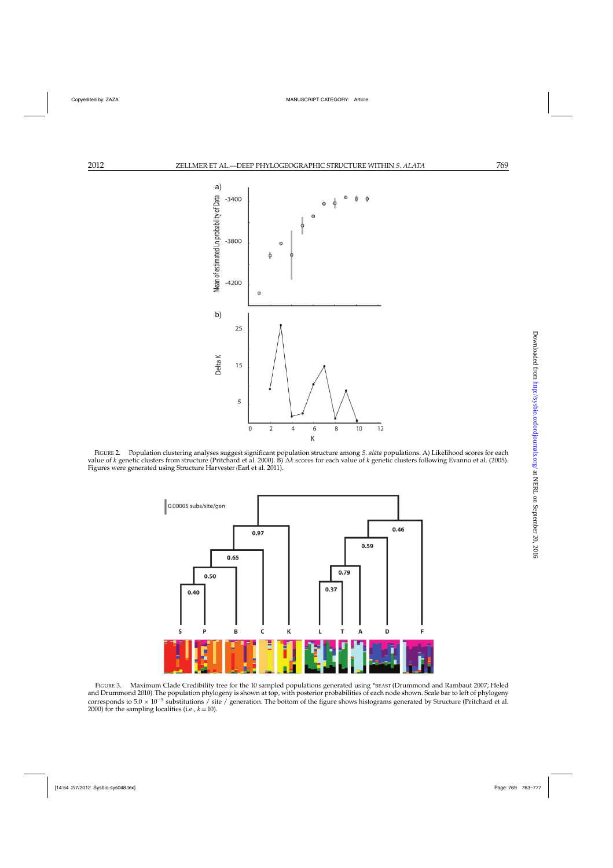

FIGURE 2. Population clustering analyses suggest significant population structure among *S. alata* populations. A) Likelihood scores for each value of *k* genetic clusters from structure (Pritchard et al. 2000). B)  $\Delta k$  scores for each value of *k* genetic clusters following Evanno et al. (2005). Figures were generated using Structure Harvester (Earl et al. 2011).



FIGURE 3. Maximum Clade Credibility tree for the 10 sampled populations generated using \*BEAST (Drummond and Rambaut 2007; Heled and Drummond 2010). The population phylogeny is shown at top, with posterior probabilities of each node shown. Scale bar to left of phylogeny corresponds to 5.0 × 10−<sup>5</sup> substitutions / site / generation. The bottom of the figure shows histograms generated by Structure (Pritchard et al. 2000) for the sampling localities (i.e.,  $k = 10$ ).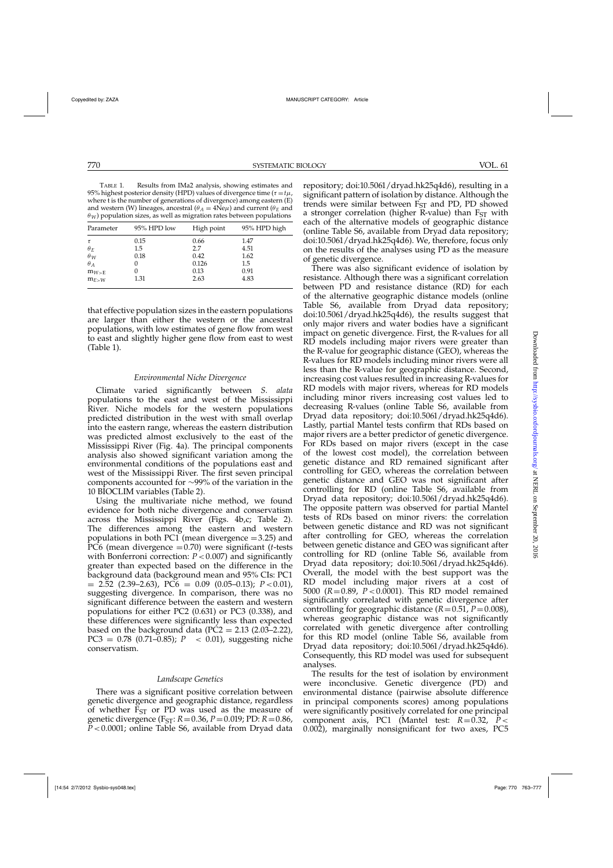TABLE 1. Results from IMa2 analysis, showing estimates and 95% highest posterior density (HPD) values of divergence time ( $\tau = t\mu$ , where  $\bar{t}$  is the number of generations of divergence) among eastern  $(E)$ and western (W) lineages, ancestral  $(\theta_A = 4\text{Ne}\mu)$  and current ( $\theta_E$  and  $\theta_W$ ) population sizes, as well as migration rates between populations

| .                         |             |            |              |
|---------------------------|-------------|------------|--------------|
| Parameter                 | 95% HPD low | High point | 95% HPD high |
|                           | 0.15        | 0.66       | 1.47         |
|                           | 1.5         | 2.7        | 4.51         |
| $\theta_E \over \theta_W$ | 0.18        | 0.42       | 1.62         |
| $\theta_A$                | 0           | 0.126      | 1.5          |
| $m_{W>E}$                 | 0           | 0.13       | 0.91         |
| $m_{E>W}$                 | 1.31        | 2.63       | 4.83         |
|                           |             |            |              |

that effective population sizes in the eastern populations are larger than either the western or the ancestral populations, with low estimates of gene flow from west to east and slightly higher gene flow from east to west (Table 1).

#### *Environmental Niche Divergence*

Climate varied significantly between *S. alata* populations to the east and west of the Mississippi River. Niche models for the western populations predicted distribution in the west with small overlap into the eastern range, whereas the eastern distribution was predicted almost exclusively to the east of the Mississippi River (Fig. 4a). The principal components analysis also showed significant variation among the environmental conditions of the populations east and west of the Mississippi River. The first seven principal components accounted for ∼99% of the variation in the 10 BIOCLIM variables (Table 2).

Using the multivariate niche method, we found evidence for both niche divergence and conservatism across the Mississippi River (Figs. 4b,c; Table 2). The differences among the eastern and western populations in both PC1 (mean divergence  $=$  3.25) and PC6 (mean divergence =0.70) were significant (*t*-tests with Bonferroni correction:  $P < 0.007$ ) and significantly greater than expected based on the difference in the background data (background mean and 95% CIs: PC1  $= 2.52$  (2.39–2.63), PC6  $= 0.09$  (0.05–0.13);  $P < 0.01$ ), suggesting divergence. In comparison, there was no significant difference between the eastern and western populations for either PC2 (0.631) or PC3 (0.338), and these differences were significantly less than expected based on the background data (PC2 = 2.13  $(2.03-2.22)$ ), PC3 =  $0.78$  (0.71–0.85);  $P \le 0.01$ ), suggesting niche conservatism.

#### *Landscape Genetics*

There was a significant positive correlation between genetic divergence and geographic distance, regardless of whether  $\vec{F}_{ST}$  or PD was used as the measure of genetic divergence (F<sub>ST</sub>: *R* = 0.36, *P* = 0.019; PD: *R* = 0.86, *P*<0.0001; online Table S6, available from Dryad data

repository; doi:10.5061/dryad.hk25q4d6), resulting in a significant pattern of isolation by distance. Although the trends were similar between  $F<sub>ST</sub>$  and PD, PD showed a stronger correlation (higher R-value) than  $F_{ST}$  with each of the alternative models of geographic distance (online Table S6, available from Dryad data repository; doi:10.5061/dryad.hk25q4d6). We, therefore, focus only on the results of the analyses using PD as the measure of genetic divergence.

There was also significant evidence of isolation by resistance. Although there was a significant correlation between PD and resistance distance (RD) for each of the alternative geographic distance models (online Table S6, available from Dryad data repository; doi:10.5061/dryad.hk25q4d6), the results suggest that only major rivers and water bodies have a significant impact on genetic divergence. First, the R-values for all RD models including major rivers were greater than the R-value for geographic distance (GEO), whereas the R-values for RD models including minor rivers were all less than the R-value for geographic distance. Second, increasing cost values resulted in increasing R-values for RD models with major rivers, whereas for RD models including minor rivers increasing cost values led to decreasing R-values (online Table S6, available from Dryad data repository; doi:10.5061/dryad.hk25q4d6). Lastly, partial Mantel tests confirm that RDs based on major rivers are a better predictor of genetic divergence. For RDs based on major rivers (except in the case of the lowest cost model), the correlation between genetic distance and RD remained significant after controlling for GEO, whereas the correlation between genetic distance and GEO was not significant after controlling for RD (online Table S6, available from Dryad data repository; doi:10.5061/dryad.hk25q4d6). The opposite pattern was observed for partial Mantel tests of RDs based on minor rivers: the correlation between genetic distance and RD was not significant after controlling for GEO, whereas the correlation between genetic distance and GEO was significant after controlling for RD (online Table S6, available from Dryad data repository; doi:10.5061/dryad.hk25q4d6). Overall, the model with the best support was the RD model including major rivers at a cost of 5000 (*R*=0.89, *P*<0.0001). This RD model remained significantly correlated with genetic divergence after controlling for geographic distance  $(R=0.51, P=0.008)$ , whereas geographic distance was not significantly correlated with genetic divergence after controlling for this RD model (online Table S6, available from Dryad data repository; doi:10.5061/dryad.hk25q4d6). Consequently, this RD model was used for subsequent analyses.

The results for the test of isolation by environment were inconclusive. Genetic divergence (PD) and environmental distance (pairwise absolute difference in principal components scores) among populations were significantly positively correlated for one principal component axis, PC1 (Mantel test: *R*=0.32, *P*< 0.002), marginally nonsignificant for two axes, PC5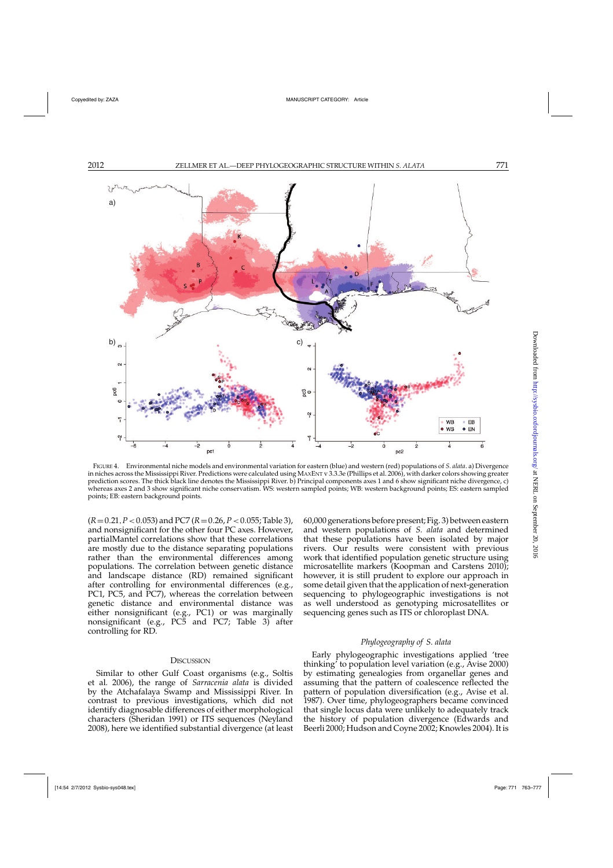Downloaded from <http://sysbio.oxfordjournals.org/> at NERL on September 20, 2016



FIGURE 4. Environmental niche models and environmental variation for eastern (blue) and western (red) populations of *S. alata*. a) Divergence in niches across the Mississippi River. Predictions were calculated using MAXENT v 3.3.3e (Phillips et al. 2006), with darker colors showing greater prediction scores. The thick black line denotes the Mississippi River. b) Principal components axes 1 and 6 show significant niche divergence, c) whereas axes 2 and 3 show significant niche conservatism. WS: western sampled points; WB: western background points; ES: eastern sampled points; EB: eastern background points.

(*R*=0.21,*P*<0.053) and PC7 (*R*=0.26, *P*<0.055; Table 3), and nonsignificant for the other four PC axes. However, partialMantel correlations show that these correlations are mostly due to the distance separating populations rather than the environmental differences among populations. The correlation between genetic distance and landscape distance (RD) remained significant after controlling for environmental differences (e.g., PC1, PC5, and PC7), whereas the correlation between genetic distance and environmental distance was either nonsignificant (e.g., PC1) or was marginally nonsignificant (e.g., PC5 and PC7; Table 3) after controlling for RD.

#### **DISCUSSION**

Similar to other Gulf Coast organisms (e.g., Soltis et al. 2006), the range of *Sarracenia alata* is divided by the Atchafalaya Swamp and Mississippi River. In contrast to previous investigations, which did not identify diagnosable differences of either morphological characters (Sheridan 1991) or ITS sequences (Neyland 2008), here we identified substantial divergence (at least

60,000 generations before present; Fig. 3) between eastern and western populations of *S. alata* and determined that these populations have been isolated by major rivers. Our results were consistent with previous work that identified population genetic structure using microsatellite markers (Koopman and Carstens 2010); however, it is still prudent to explore our approach in some detail given that the application of next-generation sequencing to phylogeographic investigations is not as well understood as genotyping microsatellites or sequencing genes such as ITS or chloroplast DNA.

# *Phylogeography of S. alata*

Early phylogeographic investigations applied 'tree thinking' to population level variation (e.g., Avise 2000) by estimating genealogies from organellar genes and assuming that the pattern of coalescence reflected the pattern of population diversification (e.g., Avise et al. 1987). Over time, phylogeographers became convinced that single locus data were unlikely to adequately track the history of population divergence (Edwards and Beerli 2000; Hudson and Coyne 2002; Knowles 2004). It is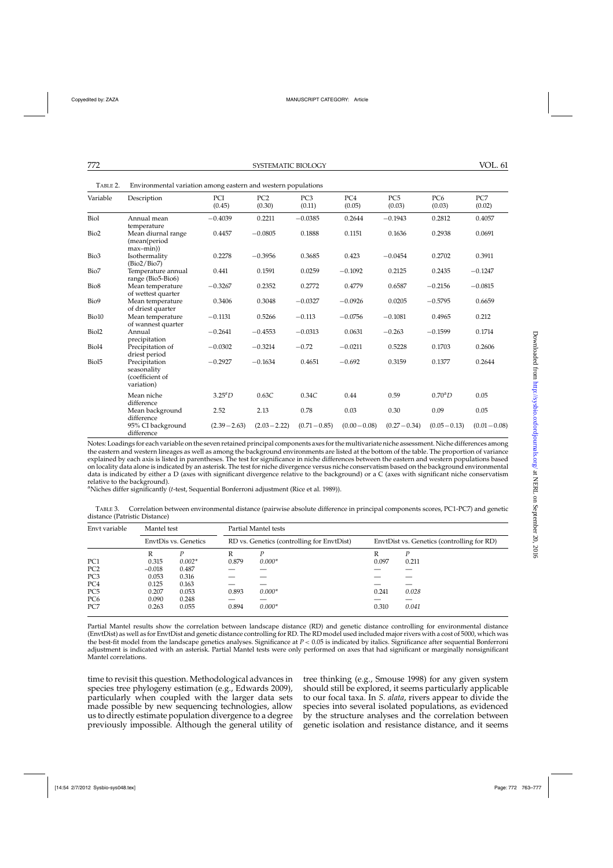| Variable          | Description                                                   | PCI<br>(0.45)   | PC <sub>2</sub><br>(0.30) | PC <sub>3</sub><br>(0.11) | PC4<br>(0.05)   | PC <sub>5</sub><br>(0.03) | PC <sub>6</sub><br>(0.03) | PC7<br>(0.02)   |
|-------------------|---------------------------------------------------------------|-----------------|---------------------------|---------------------------|-----------------|---------------------------|---------------------------|-----------------|
| Biol              | Annual mean<br>temperature                                    | $-0.4039$       | 0.2211                    | $-0.0385$                 | 0.2644          | $-0.1943$                 | 0.2812                    | 0.4057          |
| Bio2              | Mean diurnal range<br>(mean(period<br>$max-min()$             | 0.4457          | $-0.0805$                 | 0.1888                    | 0.1151          | 0.1636                    | 0.2938                    | 0.0691          |
| Bio3              | Isothermality<br>(Bio2/Bio7)                                  | 0.2278          | $-0.3956$                 | 0.3685                    | 0.423           | $-0.0454$                 | 0.2702                    | 0.3911          |
| Bio7              | Temperature annual<br>range (Bio5-Bio6)                       | 0.441           | 0.1591                    | 0.0259                    | $-0.1092$       | 0.2125                    | 0.2435                    | $-0.1247$       |
| Bio <sub>8</sub>  | Mean temperature<br>of wettest quarter                        | $-0.3267$       | 0.2352                    | 0.2772                    | 0.4779          | 0.6587                    | $-0.2156$                 | $-0.0815$       |
| Bio9              | Mean temperature<br>of driest quarter                         | 0.3406          | 0.3048                    | $-0.0327$                 | $-0.0926$       | 0.0205                    | $-0.5795$                 | 0.6659          |
| Bio10             | Mean temperature<br>of wannest quarter                        | $-0.1131$       | 0.5266                    | $-0.113$                  | $-0.0756$       | $-0.1081$                 | 0.4965                    | 0.212           |
| Biol <sub>2</sub> | Annual<br>precipitation                                       | $-0.2641$       | $-0.4553$                 | $-0.0313$                 | 0.0631          | $-0.263$                  | $-0.1599$                 | 0.1714          |
| Biol <sub>4</sub> | Precipitation of<br>driest period                             | $-0.0302$       | $-0.3214$                 | $-0.72$                   | $-0.0211$       | 0.5228                    | 0.1703                    | 0.2606          |
| Biol <sub>5</sub> | Precipitation<br>seasonality<br>(coefficient of<br>variation) | $-0.2927$       | $-0.1634$                 | 0.4651                    | $-0.692$        | 0.3159                    | 0.1377                    | 0.2644          |
|                   | Mean niche<br>difference                                      | $3.25^aD$       | 0.63C                     | 0.34C                     | 0.44            | 0.59                      | $0.70^aD$                 | 0.05            |
|                   | Mean background<br>difference                                 | 2.52            | 2.13                      | 0.78                      | 0.03            | 0.30                      | 0.09                      | 0.05            |
|                   | 95% CI background<br>difference                               | $(2.39 - 2.63)$ | $(2.03 - 2.22)$           | $(0.71 - 0.85)$           | $(0.00 - 0.08)$ | $(0.27 - 0.34)$           | $(0.05 - 0.13)$           | $(0.01 - 0.08)$ |

TABLE 2. Environmental variation among eastern and western populations

Notes: Loadings for each variable on the seven retained principal components axes for the multivariate niche assessment. Niche differences among the eastern and western lineages as well as among the background environments are listed at the bottom of the table. The proportion of variance explained by each axis is listed in parentheses. The test for significance in niche differences between the eastern and western populations based on locality data alone is indicated by an asterisk. The test for niche divergence versus niche conservatism based on the background environmental data is indicated by either a D (axes with significant divergence relative to the background) or a C (axes with significant niche conservatism relative to the background).

aNiches differ significantly (*t*-test, Sequential Bonferroni adjustment (Rice et al. 1989)).

TABLE 3. Correlation between environmental distance (pairwise absolute difference in principal components scores, PC1-PC7) and genetic distance (Patristic Distance)

| Envt variable   | Mantel test |                      |                                            | Partial Mantel tests |                                            |       |  |  |
|-----------------|-------------|----------------------|--------------------------------------------|----------------------|--------------------------------------------|-------|--|--|
|                 |             | EnvtDis vs. Genetics | RD vs. Genetics (controlling for EnvtDist) |                      | EnvtDist vs. Genetics (controlling for RD) |       |  |  |
|                 | R           |                      | R                                          | D                    | R                                          | D     |  |  |
| PC <sub>1</sub> | 0.315       | $0.002*$             | 0.879                                      | $0.000*$             | 0.097                                      | 0.211 |  |  |
| PC <sub>2</sub> | $-0.018$    | 0.487                |                                            |                      |                                            |       |  |  |
| PC <sub>3</sub> | 0.053       | 0.316                |                                            |                      |                                            |       |  |  |
| PC <sub>4</sub> | 0.125       | 0.163                |                                            |                      |                                            |       |  |  |
| PC <sub>5</sub> | 0.207       | 0.053                | 0.893                                      | $0.000*$             | 0.241                                      | 0.028 |  |  |
| PC <sub>6</sub> | 0.090       | 0.248                |                                            |                      |                                            |       |  |  |
| PC7             | 0.263       | 0.055                | 0.894                                      | $0.000*$             | 0.310                                      | 0.041 |  |  |

Partial Mantel results show the correlation between landscape distance (RD) and genetic distance controlling for environmental distance (EnvtDist) as well as for EnvtDist and genetic distance controlling for RD. The RD model used included major rivers with a cost of 5000, which was the best-fit model from the landscape genetics analyses. Significance at *P*< 0.05 is indicated by italics. Significance after sequential Bonferroni adjustment is indicated with an asterisk. Partial Mantel tests were only performed on axes that had significant or marginally nonsignificant Mantel correlations.

time to revisit this question. Methodological advances in species tree phylogeny estimation (e.g., Edwards 2009), particularly when coupled with the larger data sets made possible by new sequencing technologies, allow us to directly estimate population divergence to a degree previously impossible. Although the general utility of tree thinking (e.g., Smouse 1998) for any given system should still be explored, it seems particularly applicable to our focal taxa. In *S. alata*, rivers appear to divide the species into several isolated populations, as evidenced by the structure analyses and the correlation between genetic isolation and resistance distance, and it seems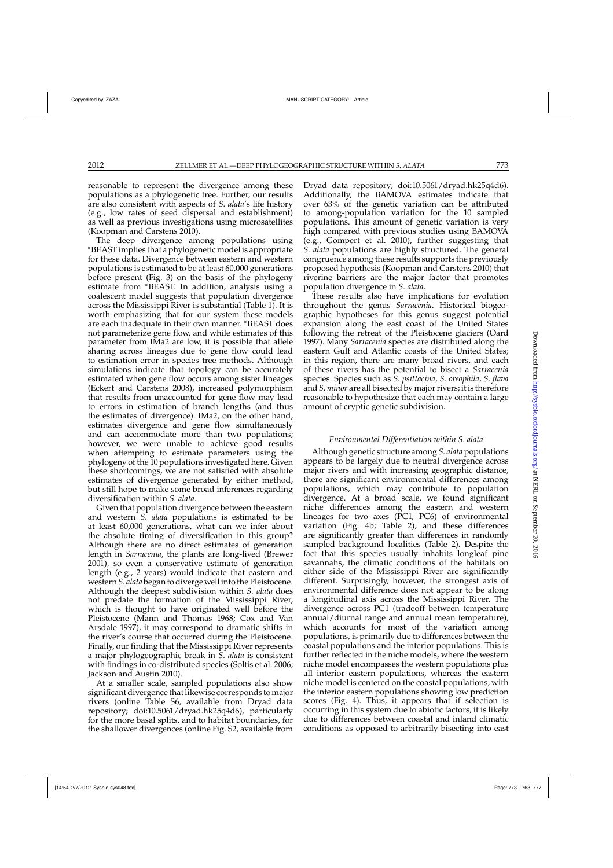reasonable to represent the divergence among these populations as a phylogenetic tree. Further, our results are also consistent with aspects of *S. alata*'s life history (e.g., low rates of seed dispersal and establishment) as well as previous investigations using microsatellites (Koopman and Carstens 2010).

The deep divergence among populations using \*BEAST implies that a phylogenetic model is appropriate for these data. Divergence between eastern and western populations is estimated to be at least 60,000 generations before present (Fig. 3) on the basis of the phylogeny estimate from \*BEAST. In addition, analysis using a coalescent model suggests that population divergence across the Mississippi River is substantial (Table 1). It is worth emphasizing that for our system these models are each inadequate in their own manner. \*BEAST does not parameterize gene flow, and while estimates of this parameter from IMa2 are low, it is possible that allele sharing across lineages due to gene flow could lead to estimation error in species tree methods. Although simulations indicate that topology can be accurately estimated when gene flow occurs among sister lineages (Eckert and Carstens 2008), increased polymorphism that results from unaccounted for gene flow may lead to errors in estimation of branch lengths (and thus the estimates of divergence). IMa2, on the other hand, estimates divergence and gene flow simultaneously and can accommodate more than two populations; however, we were unable to achieve good results when attempting to estimate parameters using the phylogeny of the 10 populations investigated here. Given these shortcomings, we are not satisfied with absolute estimates of divergence generated by either method, but still hope to make some broad inferences regarding diversification within *S. alata*.

Given that population divergence between the eastern and western *S. alata* populations is estimated to be at least 60,000 generations, what can we infer about the absolute timing of diversification in this group? Although there are no direct estimates of generation length in *Sarracenia*, the plants are long-lived (Brewer 2001), so even a conservative estimate of generation length (e.g., 2 years) would indicate that eastern and western *S. alata* began to diverge wellinto the Pleistocene. Although the deepest subdivision within *S. alata* does not predate the formation of the Mississippi River, which is thought to have originated well before the Pleistocene (Mann and Thomas 1968; Cox and Van Arsdale 1997), it may correspond to dramatic shifts in the river's course that occurred during the Pleistocene. Finally, our finding that the Mississippi River represents a major phylogeographic break in *S. alata* is consistent with findings in co-distributed species (Soltis et al. 2006; Jackson and Austin 2010).

At a smaller scale, sampled populations also show significant divergence that likewise corresponds to major rivers (online Table S6, available from Dryad data repository; doi:10.5061/dryad.hk25q4d6), particularly for the more basal splits, and to habitat boundaries, for the shallower divergences (online Fig. S2, available from

Dryad data repository; doi:10.5061/dryad.hk25q4d6). Additionally, the BAMOVA estimates indicate that over 63% of the genetic variation can be attributed to among-population variation for the 10 sampled populations. This amount of genetic variation is very high compared with previous studies using BAMOVA (e.g., Gompert et al. 2010), further suggesting that *S. alata* populations are highly structured. The general congruence among these results supports the previously proposed hypothesis (Koopman and Carstens 2010) that riverine barriers are the major factor that promotes population divergence in *S. alata*.

These results also have implications for evolution throughout the genus *Sarracenia*. Historical biogeographic hypotheses for this genus suggest potential expansion along the east coast of the United States following the retreat of the Pleistocene glaciers (Oard 1997). Many *Sarracenia* species are distributed along the eastern Gulf and Atlantic coasts of the United States; in this region, there are many broad rivers, and each of these rivers has the potential to bisect a *Sarracenia* species. Species such as *S. psittacina*, *S. oreophila*, *S. flava* and *S. minor* are all bisected by major rivers; it is therefore reasonable to hypothesize that each may contain a large amount of cryptic genetic subdivision.

# *Environmental Differentiation within S. alata*

Although genetic structure among *S. alata* populations appears to be largely due to neutral divergence across major rivers and with increasing geographic distance, there are significant environmental differences among populations, which may contribute to population divergence. At a broad scale, we found significant niche differences among the eastern and western lineages for two axes (PC1, PC6) of environmental variation (Fig. 4b; Table 2), and these differences are significantly greater than differences in randomly sampled background localities (Table 2). Despite the fact that this species usually inhabits longleaf pine savannahs, the climatic conditions of the habitats on either side of the Mississippi River are significantly different. Surprisingly, however, the strongest axis of environmental difference does not appear to be along a longitudinal axis across the Mississippi River. The divergence across PC1 (tradeoff between temperature annual/diurnal range and annual mean temperature), which accounts for most of the variation among populations, is primarily due to differences between the coastal populations and the interior populations. This is further reflected in the niche models, where the western niche model encompasses the western populations plus all interior eastern populations, whereas the eastern niche model is centered on the coastal populations, with the interior eastern populations showing low prediction scores (Fig. 4). Thus, it appears that if selection is occurring in this system due to abiotic factors, it is likely due to differences between coastal and inland climatic conditions as opposed to arbitrarily bisecting into east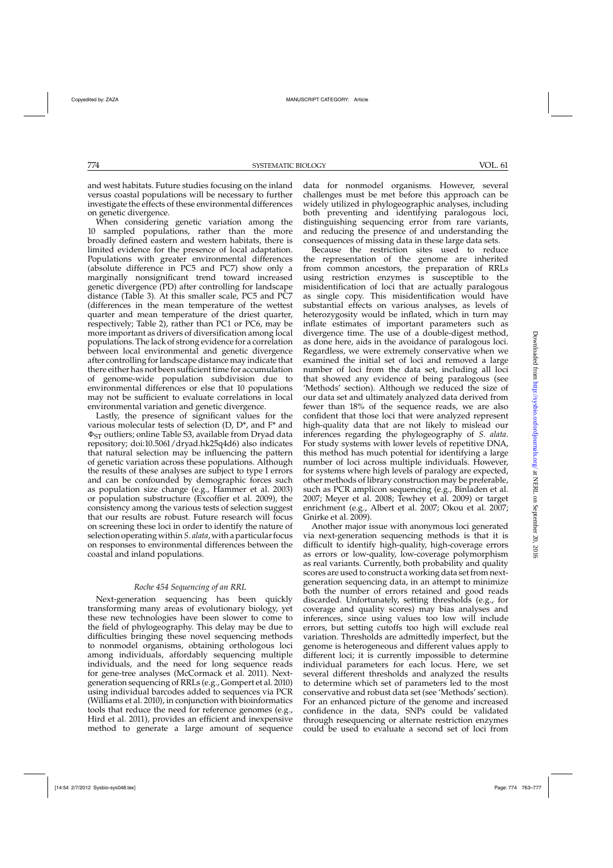and west habitats. Future studies focusing on the inland versus coastal populations will be necessary to further investigate the effects of these environmental differences on genetic divergence.

When considering genetic variation among the 10 sampled populations, rather than the more broadly defined eastern and western habitats, there is limited evidence for the presence of local adaptation. Populations with greater environmental differences (absolute difference in PC5 and PC7) show only a marginally nonsignificant trend toward increased genetic divergence (PD) after controlling for landscape distance (Table 3). At this smaller scale, PC5 and PC7 (differences in the mean temperature of the wettest quarter and mean temperature of the driest quarter, respectively; Table 2), rather than PC1 or PC6, may be more important as drivers of diversification among local populations. The lack of strong evidence for a correlation between local environmental and genetic divergence after controlling for landscape distance may indicate that there either has not been sufficient time for accumulation of genome-wide population subdivision due to environmental differences or else that 10 populations may not be sufficient to evaluate correlations in local environmental variation and genetic divergence.

Lastly, the presence of significant values for the various molecular tests of selection  $(D, D^*,$  and  $F^*$  and  $\Phi_{ST}$  outliers; online Table S3, available from Dryad data repository; doi:10.5061/dryad.hk25q4d6) also indicates that natural selection may be influencing the pattern of genetic variation across these populations. Although the results of these analyses are subject to type I errors and can be confounded by demographic forces such as population size change (e.g., Hammer et al. 2003) or population substructure (Excoffier et al. 2009), the consistency among the various tests of selection suggest that our results are robust. Future research will focus on screening these loci in order to identify the nature of selection operating within *S. alata*, with a particular focus on responses to environmental differences between the coastal and inland populations.

# *Roche 454 Sequencing of an RRL*

Next-generation sequencing has been quickly transforming many areas of evolutionary biology, yet these new technologies have been slower to come to the field of phylogeography. This delay may be due to difficulties bringing these novel sequencing methods to nonmodel organisms, obtaining orthologous loci among individuals, affordably sequencing multiple individuals, and the need for long sequence reads for gene-tree analyses (McCormack et al. 2011). Nextgeneration sequencing of RRLs (e.g., Gompert et al. 2010) using individual barcodes added to sequences via PCR (Williams et al. 2010), in conjunction with bioinformatics tools that reduce the need for reference genomes (e.g., Hird et al. 2011), provides an efficient and inexpensive method to generate a large amount of sequence

data for nonmodel organisms. However, several challenges must be met before this approach can be widely utilized in phylogeographic analyses, including both preventing and identifying paralogous loci, distinguishing sequencing error from rare variants, and reducing the presence of and understanding the consequences of missing data in these large data sets.

Because the restriction sites used to reduce the representation of the genome are inherited from common ancestors, the preparation of RRLs using restriction enzymes is susceptible to the misidentification of loci that are actually paralogous as single copy. This misidentification would have substantial effects on various analyses, as levels of heterozygosity would be inflated, which in turn may inflate estimates of important parameters such as divergence time. The use of a double-digest method, as done here, aids in the avoidance of paralogous loci. Regardless, we were extremely conservative when we examined the initial set of loci and removed a large number of loci from the data set, including all loci that showed any evidence of being paralogous (see 'Methods' section). Although we reduced the size of our data set and ultimately analyzed data derived from fewer than 18% of the sequence reads, we are also confident that those loci that were analyzed represent high-quality data that are not likely to mislead our inferences regarding the phylogeography of *S. alata*. For study systems with lower levels of repetitive DNA, this method has much potential for identifying a large number of loci across multiple individuals. However, for systems where high levels of paralogy are expected, other methods of library construction may be preferable, such as PCR amplicon sequencing (e.g., Binladen et al. 2007; Meyer et al. 2008; Tewhey et al. 2009) or target enrichment (e.g., Albert et al. 2007; Okou et al. 2007; Gnirke et al. 2009).

Another major issue with anonymous loci generated via next-generation sequencing methods is that it is difficult to identify high-quality, high-coverage errors as errors or low-quality, low-coverage polymorphism as real variants. Currently, both probability and quality scores are used to construct a working data set from nextgeneration sequencing data, in an attempt to minimize both the number of errors retained and good reads discarded. Unfortunately, setting thresholds (e.g., for coverage and quality scores) may bias analyses and inferences, since using values too low will include errors, but setting cutoffs too high will exclude real variation. Thresholds are admittedly imperfect, but the genome is heterogeneous and different values apply to different loci; it is currently impossible to determine individual parameters for each locus. Here, we set several different thresholds and analyzed the results to determine which set of parameters led to the most conservative and robust data set (see 'Methods' section). For an enhanced picture of the genome and increased confidence in the data, SNPs could be validated through resequencing or alternate restriction enzymes could be used to evaluate a second set of loci from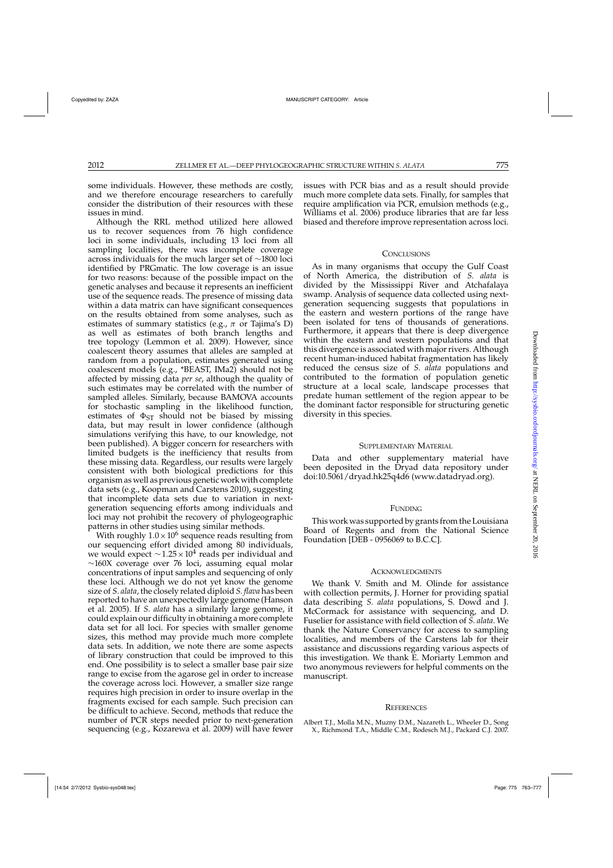some individuals. However, these methods are costly, and we therefore encourage researchers to carefully consider the distribution of their resources with these issues in mind.

Although the RRL method utilized here allowed us to recover sequences from 76 high confidence loci in some individuals, including 13 loci from all sampling localities, there was incomplete coverage across individuals for the much larger set of ∼1800 loci identified by PRGmatic. The low coverage is an issue for two reasons: because of the possible impact on the genetic analyses and because it represents an inefficient use of the sequence reads. The presence of missing data within a data matrix can have significant consequences on the results obtained from some analyses, such as estimates of summary statistics (e.g.,  $\pi$  or Tajima's D) as well as estimates of both branch lengths and tree topology (Lemmon et al. 2009). However, since coalescent theory assumes that alleles are sampled at random from a population, estimates generated using coalescent models (e.g., \*BEAST, IMa2) should not be affected by missing data *per se*, although the quality of such estimates may be correlated with the number of sampled alleles. Similarly, because BAMOVA accounts for stochastic sampling in the likelihood function, estimates of  $\Phi_{ST}$  should not be biased by missing data, but may result in lower confidence (although simulations verifying this have, to our knowledge, not been published). A bigger concern for researchers with limited budgets is the inefficiency that results from these missing data. Regardless, our results were largely consistent with both biological predictions for this organism as well as previous genetic work with complete data sets (e.g., Koopman and Carstens 2010), suggesting that incomplete data sets due to variation in nextgeneration sequencing efforts among individuals and loci may not prohibit the recovery of phylogeographic patterns in other studies using similar methods.

With roughly  $1.0 \times 10^6$  sequence reads resulting from our sequencing effort divided among 80 individuals, we would expect  $\sim$ 1.25 × 10<sup>4</sup> reads per individual and  $~\sim$ 160X coverage over 76 loci, assuming equal molar concentrations of input samples and sequencing of only these loci. Although we do not yet know the genome size of *S. alata*, the closely related diploid *S. flava* has been reported to have an unexpectedly large genome (Hanson et al. 2005). If *S. alata* has a similarly large genome, it could explain our difficulty in obtaining a more complete data set for all loci. For species with smaller genome sizes, this method may provide much more complete data sets. In addition, we note there are some aspects of library construction that could be improved to this end. One possibility is to select a smaller base pair size range to excise from the agarose gel in order to increase the coverage across loci. However, a smaller size range requires high precision in order to insure overlap in the fragments excised for each sample. Such precision can be difficult to achieve. Second, methods that reduce the number of PCR steps needed prior to next-generation sequencing (e.g., Kozarewa et al. 2009) will have fewer

issues with PCR bias and as a result should provide much more complete data sets. Finally, for samples that require amplification via PCR, emulsion methods (e.g., Williams et al. 2006) produce libraries that are far less biased and therefore improve representation across loci.

## **CONCLUSIONS**

As in many organisms that occupy the Gulf Coast of North America, the distribution of *S. alata* is divided by the Mississippi River and Atchafalaya swamp. Analysis of sequence data collected using nextgeneration sequencing suggests that populations in the eastern and western portions of the range have been isolated for tens of thousands of generations. Furthermore, it appears that there is deep divergence within the eastern and western populations and that this divergence is associated with major rivers. Although recent human-induced habitat fragmentation has likely reduced the census size of *S. alata* populations and contributed to the formation of population genetic structure at a local scale, landscape processes that predate human settlement of the region appear to be the dominant factor responsible for structuring genetic diversity in this species.

## SUPPLEMENTARY MATERIAL

Data and other supplementary material have been deposited in the Dryad data repository under doi:10.5061/dryad.hk25q4d6 (www.datadryad.org).

## FUNDING

This work was supported by grants from the Louisiana Board of Regents and from the National Science Foundation [DEB - 0956069 to B.C.C].

## ACKNOWLEDGMENTS

We thank V. Smith and M. Olinde for assistance with collection permits, J. Horner for providing spatial data describing *S. alata* populations, S. Dowd and J. McCormack for assistance with sequencing, and D. Fuselier for assistance with field collection of *S. alata*. We thank the Nature Conservancy for access to sampling localities, and members of the Carstens lab for their assistance and discussions regarding various aspects of this investigation. We thank E. Moriarty Lemmon and two anonymous reviewers for helpful comments on the manuscript.

## **REFERENCES**

Albert T.J., Molla M.N., Muzny D.M., Nazareth L., Wheeler D., Song X., Richmond T.A., Middle C.M., Rodesch M.J., Packard C.J. 2007.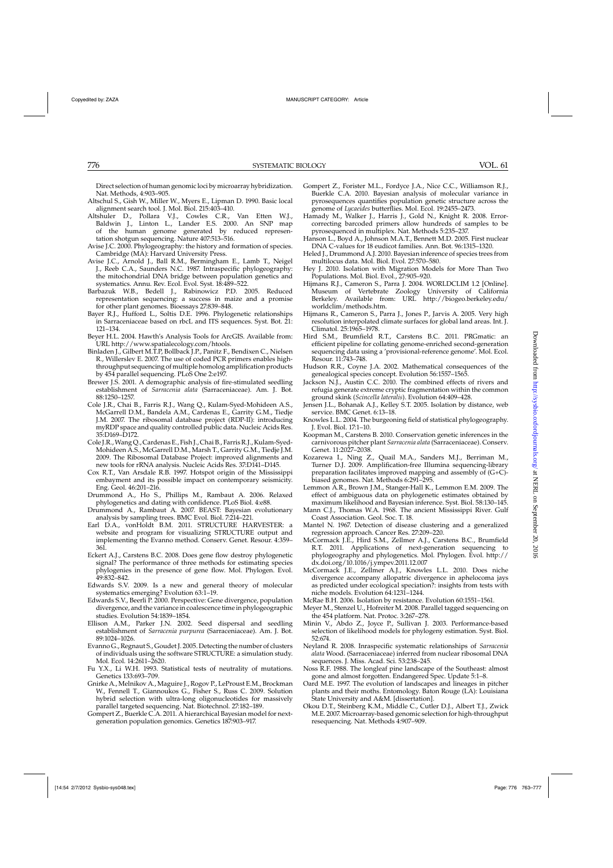Direct selection of human genomic loci by microarray hybridization. Nat. Methods, 4:903–905.

- Altschul S., Gish W., Miller W., Myers E., Lipman D. 1990. Basic local alignment search tool. J. Mol. Biol. 215:403–410.
- Altshuler D., Pollara V.J., Cowles C.R., Van Etten W.J., Baldwin J., Linton L., Lander E.S. 2000. An SNP map of the human genome generated by reduced representation shotgun sequencing. Nature 407:513–516.
- Avise J.C. 2000. Phylogeography: the history and formation of species. Cambridge (MA): Harvard University Press.
- Avise J.C., Arnold J., Ball R.M., Bermingham E., Lamb T., Neigel J., Reeb C.A., Saunders N.C. 1987. Intraspecific phylogeography: the mitochondrial DNA bridge between population genetics and systematics. Annu. Rev. Ecol. Evol. Syst. 18:489–522.
- Barbazuk W.B., Bedell J., Rabinowicz P.D. 2005. Reduced representation sequencing: a success in maize and a promise for other plant genomes. Bioessays 27:839–848.
- Bayer R.J., Hufford L., Soltis D.E. 1996. Phylogenetic relationships in Sarraceniaceae based on rbcL and ITS sequences. Syst. Bot. 21: 121–134.
- Beyer H.L. 2004. Hawth's Analysis Tools for ArcGIS. Available from: URL http://www.spatialecology.com/htools.
- Binladen J., Gilbert M.T.P, Bollback J.P., Panitz F., Bendixen C., Nielsen R., Willerslev E. 2007. The use of coded PCR primers enables highthroughput sequencing ofmultiple homolog amplification products by 454 parallel sequencing. PLoS One 2:e197.
- Brewer J.S. 2001. A demographic analysis of fire-stimulated seedling establishment of *Sarracenia alata* (Sarraceniaceae). Am. J. Bot. 88:1250–1257.
- Cole J.R., Chai B., Farris R.J., Wang Q., Kulam-Syed-Mohideen A.S., McGarrell D.M., Bandela A.M., Cardenas E., Garrity G.M., Tiedje J.M. 2007. The ribosomal database project (RDP-II): introducing myRDP space and quality controlled public data. Nucleic Acids Res. 35:D169–D172.
- Cole J.R.,Wang Q., Cardenas E., Fish J., Chai B., Farris R.J., Kulam-Syed-Mohideen A.S., McGarrell D.M., Marsh T., Garrity G.M., Tiedje J.M. 2009. The Ribosomal Database Project: improved alignments and new tools for rRNA analysis. Nucleic Acids Res. 37:D141–D145.
- Cox R.T., Van Arsdale R.B. 1997. Hotspot origin of the Mississippi embayment and its possible impact on contemporary seismicity. Eng. Geol. 46:201–216.
- Drummond A., Ho S., Phillips M., Rambaut A. 2006. Relaxed phylogenetics and dating with confidence. PLoS Biol. 4:e88.
- Drummond A., Rambaut A. 2007. BEAST: Bayesian evolutionary analysis by sampling trees. BMC Evol. Biol. 7:214–221.
- Earl D.A., vonHoldt B.M. 2011. STRUCTURE HARVESTER: a website and program for visualizing STRUCTURE output and implementing the Evanno method. Conserv. Genet. Resour. 4:359-361.
- Eckert A.J., Carstens B.C. 2008. Does gene flow destroy phylogenetic signal? The performance of three methods for estimating species phylogenies in the presence of gene flow. Mol. Phylogen. Evol. 49:832–842.
- Edwards S.V. 2009. Is a new and general theory of molecular systematics emerging? Evolution 63:1–19.
- Edwards S.V., Beerli P. 2000. Perspective: Gene divergence, population divergence, and the variance in coalescence time in phylogeographic studies. Evolution 54:1839–1854.
- Ellison A.M., Parker J.N. 2002. Seed dispersal and seedling establishment of *Sarracenia purpurea* (Sarraceniaceae). Am. J. Bot. 89:1024–1026.
- Evanno G., Regnaut S., Goudet J. 2005. Detecting the number of clusters of individuals using the software STRUCTURE: a simulation study. Mol. Ecol. 14:2611–2620.
- Fu Y.X., Li W.H. 1993. Statistical tests of neutrality of mutations. Genetics 133:693–709.
- Gnirke A., Melnikov A., Maguire J., Rogov P., LeProust E.M., Brockman W., Fennell T., Giannoukos G., Fisher S., Russ C. 2009. Solution hybrid selection with ultra-long oligonucleotides for massively parallel targeted sequencing. Nat. Biotechnol. 27:182–189.
- Gompert Z., Buerkle C.A. 2011. A hierarchical Bayesian model for nextgeneration population genomics. Genetics 187:903–917.
- Gompert Z., Forister M.L., Fordyce J.A., Nice C.C., Williamson R.J., Buerkle C.A. 2010. Bayesian analysis of molecular variance in pyrosequences quantifies population genetic structure across the genome of *Lycaeides* butterflies. Mol. Ecol. 19:2455–2473.
- Hamady M., Walker J., Harris J., Gold N., Knight R. 2008. Errorcorrecting barcoded primers allow hundreds of samples to be pyrosequenced in multiplex. Nat. Methods 5:235–237.
- Hanson L., Boyd A., Johnson M.A.T., Bennett M.D. 2005. First nuclear DNA C-values for 18 eudicot families. Ann. Bot. 96:1315–1320.
- Heled J., Drummond A.J. 2010. Bayesian inference of species trees from multilocus data. Mol. Biol. Evol. 27:570–580.
- Hey J. 2010. Isolation with Migration Models for More Than Two Populations. Mol. Biol. Evol., 27:905–920.
- Hijmans R.J., Cameron S., Parra J. 2004. WORLDCLIM 1.2 [Online]. Museum of Vertebrate Zoology University of California Berkeley. Available from: URL http://biogeo.berkeley.edu/ worldclim/methods.htm.
- Hijmans R., Cameron S., Parra J., Jones P., Jarvis A. 2005. Very high resolution interpolated climate surfaces for global land areas. Int. J. Climatol. 25:1965–1978.
- Hird S.M., Brumfield R.T., Carstens B.C. 2011. PRGmatic: an efficient pipeline for collating genome-enriched second-generation sequencing data using a 'provisional-reference genome'. Mol. Ecol. Resour. 11:743–748.
- Hudson R.R., Coyne J.A. 2002. Mathematical consequences of the genealogical species concept. Evolution 56:1557–1565.
- Jackson N.J., Austin C.C. 2010. The combined effects of rivers and refugia generate extreme cryptic fragmentation within the common ground skink (*Scincella lateralis*). Evolution 64:409–428.
- Jensen J.L., Bohanak A.J., Kelley S.T. 2005. Isolation by distance, web service. BMC Genet. 6:13–18.
- Knowles L.L. 2004. The burgeoning field of statistical phylogeography. J. Evol. Biol. 17:1–10.
- Koopman M., Carstens B. 2010. Conservation genetic inferences in the carnivorous pitcher plant *Sarracenia alata* (Sarraceniaceae). Conserv. Genet. 11:2027–2038.
- Kozarewa I., Ning Z., Quail M.A., Sanders M.J., Berriman M., Turner D.J. 2009. Amplification-free Illumina sequencing-library preparation facilitates improved mapping and assembly of (G+C) biased genomes. Nat. Methods 6:291–295.
- Lemmon A.R., Brown J.M., Stanger-Hall K., Lemmon E.M. 2009. The effect of ambiguous data on phylogenetic estimates obtained by maximum likelihood and Bayesian inference. Syst. Biol. 58:130–145.
- Mann C.J., Thomas W.A. 1968. The ancient Mississippi River. Gulf Coast Association. Geol. Soc. T. 18.
- Mantel N. 1967. Detection of disease clustering and a generalized regression approach. Cancer Res. 27:209–220.
- McCormack J.E., Hird S.M., Zellmer A.J., Carstens B.C., Brumfield R.T. 2011. Applications of next-generation sequencing to phylogeography and phylogenetics. Mol. Phylogen. Evol. http:// dx.doi.org/10.1016/j.ympev.2011.12.007
- McCormack J.E., Zellmer A.J., Knowles L.L. 2010. Does niche divergence accompany allopatric divergence in aphelocoma jays as predicted under ecological speciation?: insights from tests with niche models. Evolution 64:1231–1244.
- McRae B.H. 2006. Isolation by resistance. Evolution 60:1551–1561.
- Meyer M., Stenzel U., Hofreiter M. 2008. Parallel tagged sequencing on the 454 platform. Nat. Protoc. 3:267–278.
- Minin V., Abdo Z., Joyce P., Sullivan J. 2003. Performance-based selection of likelihood models for phylogeny estimation. Syst. Biol. 52:674.
- Neyland R. 2008. Inraspecific systematic relationships of *Sarracenia alata* Wood. (Sarraceniaceae) inferred from nuclear ribosomal DNA sequences. J. Miss. Acad. Sci. 53:238–245.
- Noss R.F. 1988. The longleaf pine landscape of the Southeast: almost gone and almost forgotten. Endangered Spec. Update 5:1–8.
- Oard M.E. 1997. The evolution of landscapes and lineages in pitcher plants and their moths. Entomology. Baton Rouge (LA): Louisiana State University and A&M. [dissertation].
- Okou D.T., Steinberg K.M., Middle C., Cutler D.J., Albert T.J., Zwick M.E. 2007. Microarray-based genomic selection for high-throughput resequencing. Nat. Methods 4:907–909.